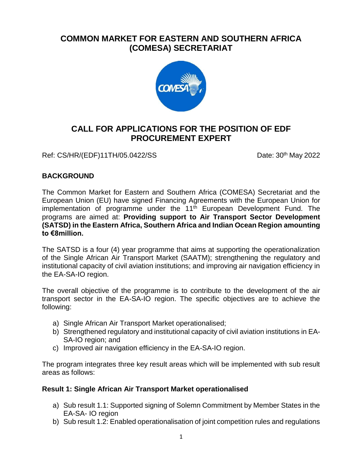# **COMMON MARKET FOR EASTERN AND SOUTHERN AFRICA (COMESA) SECRETARIAT**



# **CALL FOR APPLICATIONS FOR THE POSITION OF EDF PROCUREMENT EXPERT**

Ref: CS/HR/(EDF)11TH/05.0422/SS Date: 30<sup>th</sup> May 2022

## **BACKGROUND**

The Common Market for Eastern and Southern Africa (COMESA) Secretariat and the European Union (EU) have signed Financing Agreements with the European Union for implementation of programme under the  $11<sup>th</sup>$  European Development Fund. The programs are aimed at: **Providing support to Air Transport Sector Development (SATSD) in the Eastern Africa, Southern Africa and Indian Ocean Region amounting to €8million.** 

The SATSD is a four (4) year programme that aims at supporting the operationalization of the Single African Air Transport Market (SAATM); strengthening the regulatory and institutional capacity of civil aviation institutions; and improving air navigation efficiency in the EA-SA-IO region.

The overall objective of the programme is to contribute to the development of the air transport sector in the EA-SA-IO region. The specific objectives are to achieve the following:

- a) Single African Air Transport Market operationalised;
- b) Strengthened regulatory and institutional capacity of civil aviation institutions in EA-SA-IO region; and
- c) Improved air navigation efficiency in the EA-SA-IO region.

The program integrates three key result areas which will be implemented with sub result areas as follows:

## **Result 1: Single African Air Transport Market operationalised**

- a) Sub result 1.1: Supported signing of Solemn Commitment by Member States in the EA-SA- IO region
- b) Sub result 1.2: Enabled operationalisation of joint competition rules and regulations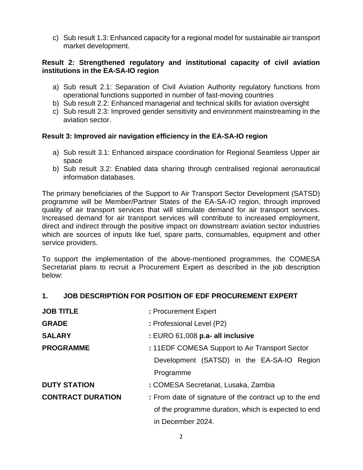c) Sub result 1.3: Enhanced capacity for a regional model for sustainable air transport market development.

#### **Result 2: Strengthened regulatory and institutional capacity of civil aviation institutions in the EA-SA-IO region**

- a) Sub result 2.1: Separation of Civil Aviation Authority regulatory functions from operational functions supported in number of fast-moving countries
- b) Sub result 2.2: Enhanced managerial and technical skills for aviation oversight
- c) Sub result 2.3: Improved gender sensitivity and environment mainstreaming in the aviation sector.

## **Result 3: Improved air navigation efficiency in the EA-SA-IO region**

- a) Sub result 3.1: Enhanced airspace coordination for Regional Seamless Upper air space
- b) Sub result 3.2: Enabled data sharing through centralised regional aeronautical information databases.

The primary beneficiaries of the Support to Air Transport Sector Development (SATSD) programme will be Member/Partner States of the EA-SA-IO region, through improved quality of air transport services that will stimulate demand for air transport services. Increased demand for air transport services will contribute to increased employment, direct and indirect through the positive impact on downstream aviation sector industries which are sources of inputs like fuel, spare parts, consumables, equipment and other service providers.

To support the implementation of the above-mentioned programmes, the COMESA Secretariat plans to recruit a Procurement Expert as described in the job description below:

#### **1. JOB DESCRIPTION FOR POSITION OF EDF PROCUREMENT EXPERT**

| <b>JOB TITLE</b>         | : Procurement Expert                                   |
|--------------------------|--------------------------------------------------------|
| <b>GRADE</b>             | : Professional Level (P2)                              |
| <b>SALARY</b>            | : EURO 61,008 p.a- all inclusive                       |
| <b>PROGRAMME</b>         | : 11EDF COMESA Support to Air Transport Sector         |
|                          | Development (SATSD) in the EA-SA-IO Region             |
|                          | Programme                                              |
| <b>DUTY STATION</b>      | : COMESA Secretariat, Lusaka, Zambia                   |
| <b>CONTRACT DURATION</b> | : From date of signature of the contract up to the end |
|                          | of the programme duration, which is expected to end    |
|                          | in December 2024.                                      |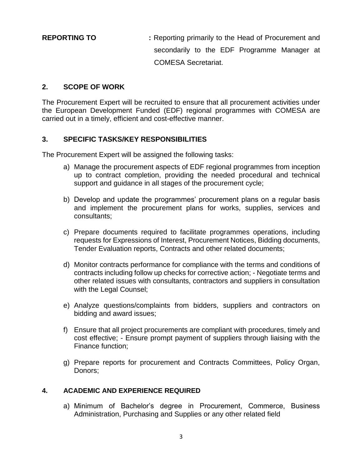**REPORTING TO :** Reporting primarily to the Head of Procurement and secondarily to the EDF Programme Manager at COMESA Secretariat.

### **2. SCOPE OF WORK**

The Procurement Expert will be recruited to ensure that all procurement activities under the European Development Funded (EDF) regional programmes with COMESA are carried out in a timely, efficient and cost-effective manner.

## **3. SPECIFIC TASKS/KEY RESPONSIBILITIES**

The Procurement Expert will be assigned the following tasks:

- a) Manage the procurement aspects of EDF regional programmes from inception up to contract completion, providing the needed procedural and technical support and guidance in all stages of the procurement cycle;
- b) Develop and update the programmes' procurement plans on a regular basis and implement the procurement plans for works, supplies, services and consultants;
- c) Prepare documents required to facilitate programmes operations, including requests for Expressions of Interest, Procurement Notices, Bidding documents, Tender Evaluation reports, Contracts and other related documents;
- d) Monitor contracts performance for compliance with the terms and conditions of contracts including follow up checks for corrective action; - Negotiate terms and other related issues with consultants, contractors and suppliers in consultation with the Legal Counsel;
- e) Analyze questions/complaints from bidders, suppliers and contractors on bidding and award issues;
- f) Ensure that all project procurements are compliant with procedures, timely and cost effective; - Ensure prompt payment of suppliers through liaising with the Finance function;
- g) Prepare reports for procurement and Contracts Committees, Policy Organ, Donors;

#### **4. ACADEMIC AND EXPERIENCE REQUIRED**

a) Minimum of Bachelor's degree in Procurement, Commerce, Business Administration, Purchasing and Supplies or any other related field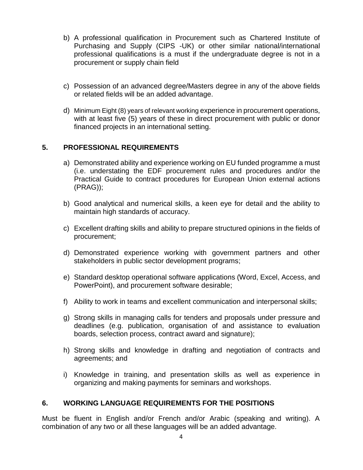- b) A professional qualification in Procurement such as Chartered Institute of Purchasing and Supply (CIPS -UK) or other similar national/international professional qualifications is a must if the undergraduate degree is not in a procurement or supply chain field
- c) Possession of an advanced degree/Masters degree in any of the above fields or related fields will be an added advantage.
- d) Minimum Eight (8) years of relevant working experience in procurement operations, with at least five (5) years of these in direct procurement with public or donor financed projects in an international setting.

## **5. PROFESSIONAL REQUIREMENTS**

- a) Demonstrated ability and experience working on EU funded programme a must (i.e. understating the EDF procurement rules and procedures and/or the Practical Guide to contract procedures for European Union external actions (PRAG));
- b) Good analytical and numerical skills, a keen eye for detail and the ability to maintain high standards of accuracy.
- c) Excellent drafting skills and ability to prepare structured opinions in the fields of procurement;
- d) Demonstrated experience working with government partners and other stakeholders in public sector development programs;
- e) Standard desktop operational software applications (Word, Excel, Access, and PowerPoint), and procurement software desirable;
- f) Ability to work in teams and excellent communication and interpersonal skills;
- g) Strong skills in managing calls for tenders and proposals under pressure and deadlines (e.g. publication, organisation of and assistance to evaluation boards, selection process, contract award and signature);
- h) Strong skills and knowledge in drafting and negotiation of contracts and agreements; and
- i) Knowledge in training, and presentation skills as well as experience in organizing and making payments for seminars and workshops.

#### **6. WORKING LANGUAGE REQUIREMENTS FOR THE POSITIONS**

Must be fluent in English and/or French and/or Arabic (speaking and writing). A combination of any two or all these languages will be an added advantage.